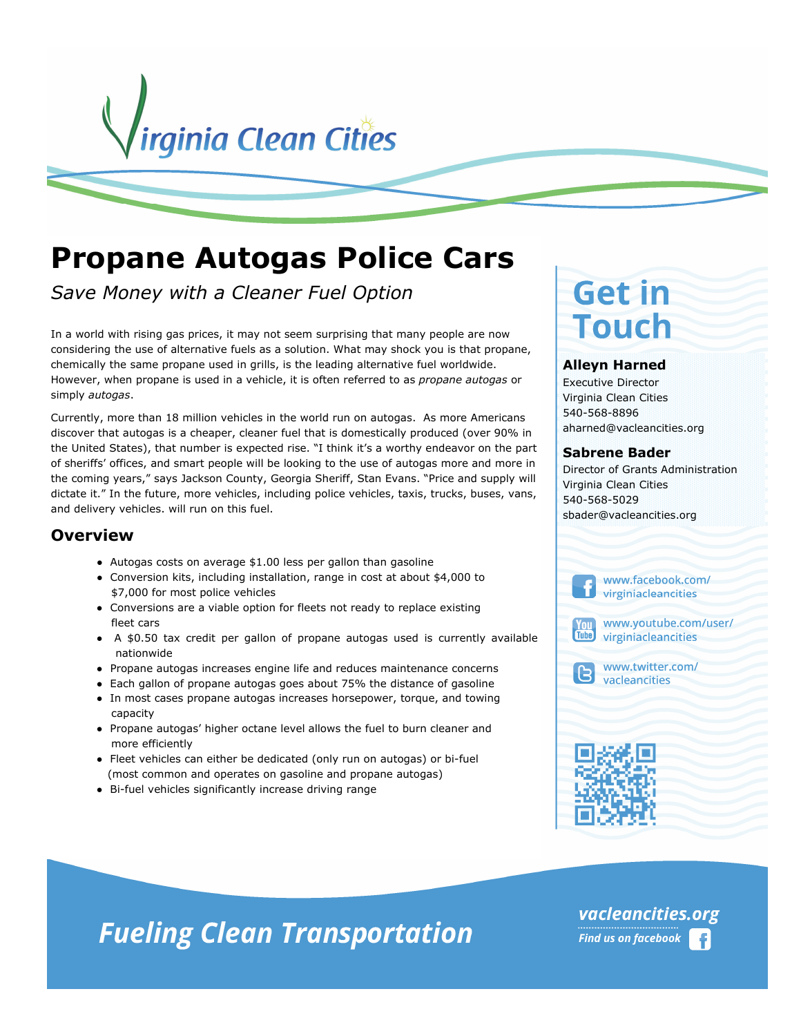

# **Propane Autogas Police Cars**

*Save Money with a Cleaner Fuel Option* 

In a world with rising gas prices, it may not seem surprising that many people are now considering the use of alternative fuels as a solution. What may shock you is that propane, chemically the same propane used in grills, is the leading alternative fuel worldwide. However, when propane is used in a vehicle, it is often referred to as *propane autogas* or simply *autogas*.

Currently, more than 18 million vehicles in the world run on autogas. As more Americans discover that autogas is a cheaper, cleaner fuel that is domestically produced (over 90% in the United States), that number is expected rise. "I think it's a worthy endeavor on the part of sheriffs' offices, and smart people will be looking to the use of autogas more and more in the coming years," says Jackson County, Georgia Sheriff, Stan Evans. "Price and supply will dictate it." In the future, more vehicles, including police vehicles, taxis, trucks, buses, vans, and delivery vehicles. will run on this fuel.

### **Overview**

- Autogas costs on average \$1.00 less per gallon than gasoline
- Conversion kits, including installation, range in cost at about \$4,000 to \$7,000 for most police vehicles
- Conversions are a viable option for fleets not ready to replace existing fleet cars
- A \$0.50 tax credit per gallon of propane autogas used is currently available nationwide
- Propane autogas increases engine life and reduces maintenance concerns
- Each gallon of propane autogas goes about 75% the distance of gasoline
- In most cases propane autogas increases horsepower, torque, and towing capacity
- Propane autogas' higher octane level allows the fuel to burn cleaner and more efficiently
- Fleet vehicles can either be dedicated (only run on autogas) or bi-fuel (most common and operates on gasoline and propane autogas)
- Bi-fuel vehicles significantly increase driving range

# **Get in Touch**

#### **Alleyn Harned**

Executive Director Virginia Clean Cities 540-568-8896 aharned@vacleancities.org

#### **Sabrene Bader**

Director of Grants Administration Virginia Clean Cities 540-568-5029 sbader@vacleancities.org

> www.facebook.com/ virginiacleancities



www.youtube.com/user/ virginiacleancities



www.twitter.com/ vacleancities

# **Fueling Clean Transportation**

vacleancities.org **Find us on facebook**